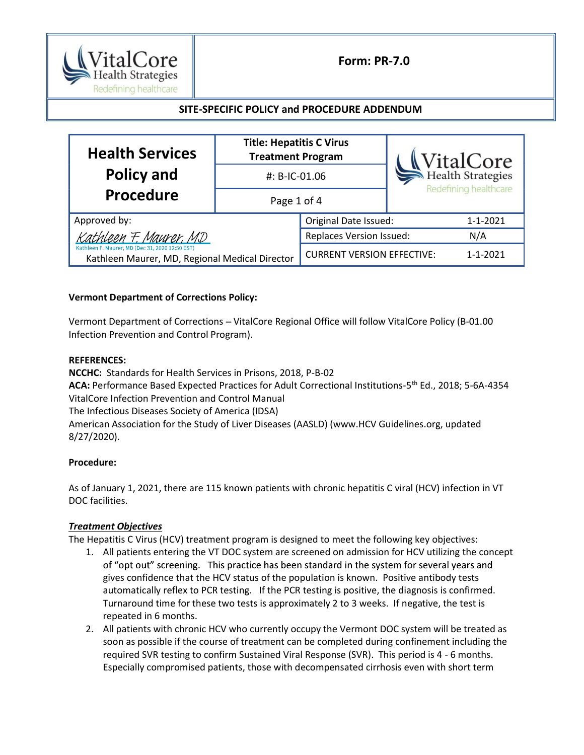

# Form: PR-7.0

## SITE-SPECIFIC POLICY and PROCEDURE ADDENDUM

| <b>Health Services</b>                                                                                                      | <b>Title: Hepatitis C Virus</b><br><b>Treatment Program</b> |                                   | WitalCore<br>Redefining healthcare |                |
|-----------------------------------------------------------------------------------------------------------------------------|-------------------------------------------------------------|-----------------------------------|------------------------------------|----------------|
| <b>Policy and</b>                                                                                                           | #: B-IC-01.06                                               |                                   |                                    |                |
| Procedure                                                                                                                   | Page 1 of 4                                                 |                                   |                                    |                |
| Approved by:                                                                                                                |                                                             | Original Date Issued:             |                                    | 1-1-2021       |
| Kathleen F. Maurer, MD<br>Kathleen F. Maurer, MD (Dec 31, 2020 12:50 EST)<br>Kathleen Maurer, MD, Regional Medical Director |                                                             | <b>Replaces Version Issued:</b>   |                                    | N/A            |
|                                                                                                                             |                                                             | <b>CURRENT VERSION EFFECTIVE:</b> |                                    | $1 - 1 - 2021$ |

### Vermont Department of Corrections Policy:

Vermont Department of Corrections - VitalCore Regional Office will follow VitalCore Policy (B-01.00 Infection Prevention and Control Program).

#### REFERENCES:

NCCHC: Standards for Health Services in Prisons, 2018, P-B-02 ACA: Performance Based Expected Practices for Adult Correctional Institutions-5<sup>th</sup> Ed., 2018; 5-6A-4354 VitalCore Infection Prevention and Control Manual The Infectious Diseases Society of America (IDSA) American Association for the Study of Liver Diseases (AASLD) (www.HCV Guidelines.org, updated 8/27/2020).

### Procedure:

As of January 1, 2021, there are 115 known patients with chronic hepatitis C viral (HCV) infection in VT DOC facilities.

### Treatment Objectives

The Hepatitis C Virus (HCV) treatment program is designed to meet the following key objectives:

- 1. All patients entering the VT DOC system are screened on admission for HCV utilizing the concept of "opt out" screening. This practice has been standard in the system for several years and gives confidence that the HCV status of the population is known. Positive antibody tests automatically reflex to PCR testing. If the PCR testing is positive, the diagnosis is confirmed. Turnaround time for these two tests is approximately 2 to 3 weeks. If negative, the test is repeated in 6 months.
- 2. All patients with chronic HCV who currently occupy the Vermont DOC system will be treated as soon as possible if the course of treatment can be completed during confinement including the required SVR testing to confirm Sustained Viral Response (SVR). This period is 4 - 6 months. Especially compromised patients, those with decompensated cirrhosis even with short term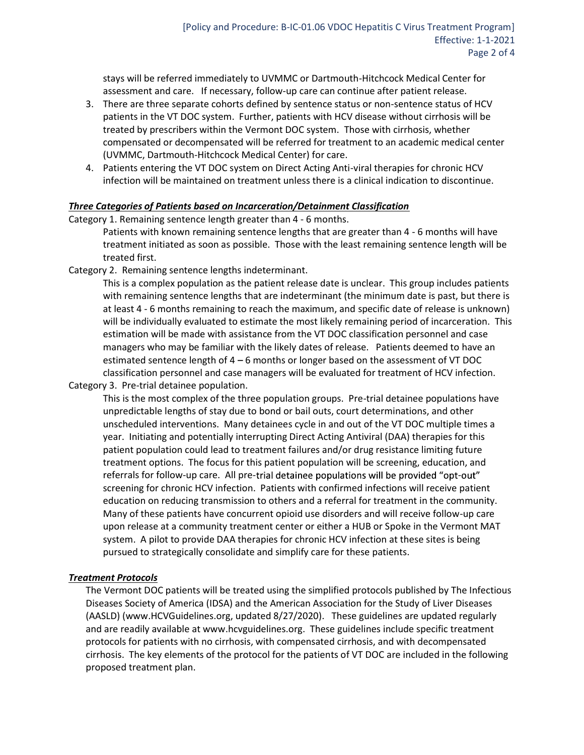stays will be referred immediately to UVMMC or Dartmouth-Hitchcock Medical Center for assessment and care. If necessary, follow-up care can continue after patient release.

- 3. There are three separate cohorts defined by sentence status or non-sentence status of HCV patients in the VT DOC system. Further, patients with HCV disease without cirrhosis will be treated by prescribers within the Vermont DOC system. Those with cirrhosis, whether compensated or decompensated will be referred for treatment to an academic medical center (UVMMC, Dartmouth-Hitchcock Medical Center) for care.
- 4. Patients entering the VT DOC system on Direct Acting Anti-viral therapies for chronic HCV infection will be maintained on treatment unless there is a clinical indication to discontinue.

### Three Categories of Patients based on Incarceration/Detainment Classification

Category 1. Remaining sentence length greater than 4 - 6 months.

Patients with known remaining sentence lengths that are greater than 4 - 6 months will have treatment initiated as soon as possible. Those with the least remaining sentence length will be treated first.

Category 2. Remaining sentence lengths indeterminant.

This is a complex population as the patient release date is unclear. This group includes patients with remaining sentence lengths that are indeterminant (the minimum date is past, but there is at least 4 - 6 months remaining to reach the maximum, and specific date of release is unknown) will be individually evaluated to estimate the most likely remaining period of incarceration. This estimation will be made with assistance from the VT DOC classification personnel and case managers who may be familiar with the likely dates of release. Patients deemed to have an estimated sentence length of  $4 - 6$  months or longer based on the assessment of VT DOC classification personnel and case managers will be evaluated for treatment of HCV infection.

Category 3. Pre-trial detainee population.

This is the most complex of the three population groups. Pre-trial detainee populations have unpredictable lengths of stay due to bond or bail outs, court determinations, and other unscheduled interventions. Many detainees cycle in and out of the VT DOC multiple times a year. Initiating and potentially interrupting Direct Acting Antiviral (DAA) therapies for this patient population could lead to treatment failures and/or drug resistance limiting future treatment options. The focus for this patient population will be screening, education, and referrals for follow-up care. All pre-trial detainee populations will be provided "opt-out" screening for chronic HCV infection. Patients with confirmed infections will receive patient education on reducing transmission to others and a referral for treatment in the community. Many of these patients have concurrent opioid use disorders and will receive follow-up care upon release at a community treatment center or either a HUB or Spoke in the Vermont MAT system. A pilot to provide DAA therapies for chronic HCV infection at these sites is being pursued to strategically consolidate and simplify care for these patients.

### Treatment Protocols

The Vermont DOC patients will be treated using the simplified protocols published by The Infectious Diseases Society of America (IDSA) and the American Association for the Study of Liver Diseases (AASLD) (www.HCVGuidelines.org, updated 8/27/2020). These guidelines are updated regularly and are readily available at www.hcvguidelines.org. These guidelines include specific treatment protocols for patients with no cirrhosis, with compensated cirrhosis, and with decompensated cirrhosis. The key elements of the protocol for the patients of VT DOC are included in the following proposed treatment plan.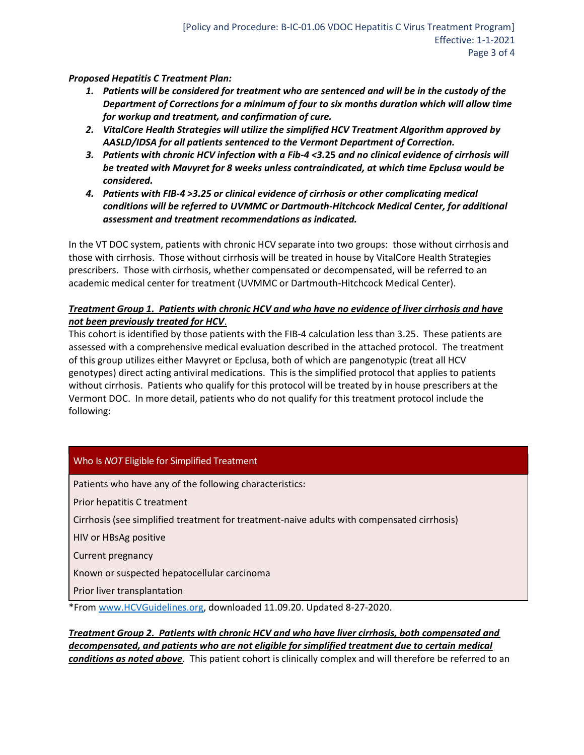Proposed Hepatitis C Treatment Plan:

- 1. Patients will be considered for treatment who are sentenced and will be in the custody of the Department of Corrections for a minimum of four to six months duration which will allow time for workup and treatment, and confirmation of cure.
- 2. VitalCore Health Strategies will utilize the simplified HCV Treatment Algorithm approved by AASLD/IDSA for all patients sentenced to the Vermont Department of Correction.
- 3. Patients with chronic HCV infection with a Fib-4 <3.25 and no clinical evidence of cirrhosis will be treated with Mavyret for 8 weeks unless contraindicated, at which time Epclusa would be considered.
- 4. Patients with FIB-4 >3.25 or clinical evidence of cirrhosis or other complicating medical conditions will be referred to UVMMC or Dartmouth-Hitchcock Medical Center, for additional assessment and treatment recommendations as indicated.

In the VT DOC system, patients with chronic HCV separate into two groups: those without cirrhosis and those with cirrhosis. Those without cirrhosis will be treated in house by VitalCore Health Strategies prescribers. Those with cirrhosis, whether compensated or decompensated, will be referred to an academic medical center for treatment (UVMMC or Dartmouth-Hitchcock Medical Center).

## Treatment Group 1. Patients with chronic HCV and who have no evidence of liver cirrhosis and have not been previously treated for HCV.

This cohort is identified by those patients with the FIB-4 calculation less than 3.25. These patients are assessed with a comprehensive medical evaluation described in the attached protocol. The treatment of this group utilizes either Mavyret or Epclusa, both of which are pangenotypic (treat all HCV genotypes) direct acting antiviral medications. This is the simplified protocol that applies to patients without cirrhosis. Patients who qualify for this protocol will be treated by in house prescribers at the Vermont DOC. In more detail, patients who do not qualify for this treatment protocol include the following:

## Who Is NOT Eligible for Simplified Treatment

Patients who have any of the following characteristics:

Prior hepatitis C treatment

Cirrhosis (see simplified treatment for treatment-naive adults with compensated cirrhosis)

HIV or HBsAg positive

Current pregnancy

Known or suspected hepatocellular carcinoma

Prior liver transplantation

\*From www.HCVGuidelines.org, downloaded 11.09.20. Updated 8-27-2020.

Treatment Group 2. Patients with chronic HCV and who have liver cirrhosis, both compensated and decompensated, and patients who are not eligible for simplified treatment due to certain medical conditions as noted above. This patient cohort is clinically complex and will therefore be referred to an